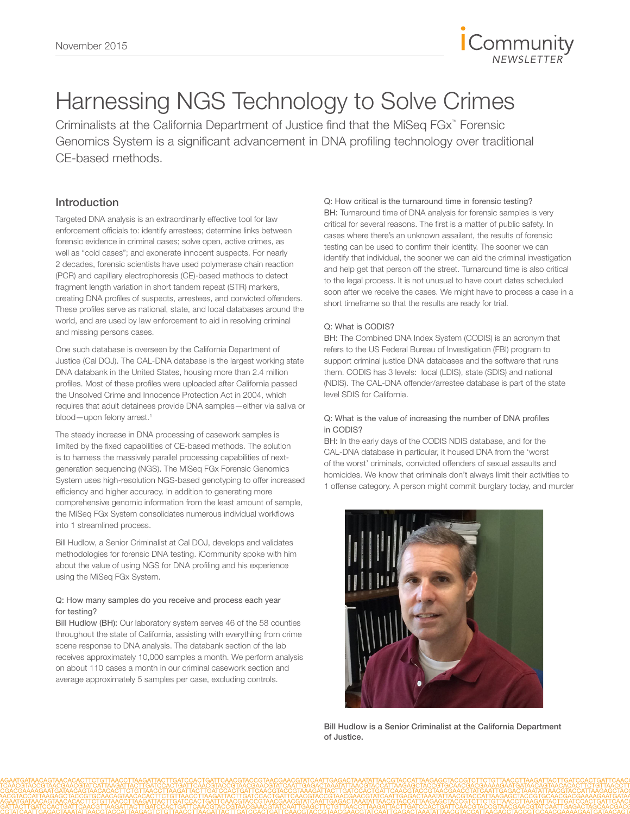

# Harnessing NGS Technology to Solve Crimes

Criminalists at the California Department of Justice find that the MiSeq FGx™ Forensic Genomics System is a significant advancement in DNA profiling technology over traditional CE-based methods.

### Introduction

Targeted DNA analysis is an extraordinarily effective tool for law enforcement officials to: identify arrestees; determine links between forensic evidence in criminal cases; solve open, active crimes, as well as "cold cases"; and exonerate innocent suspects. For nearly 2 decades, forensic scientists have used polymerase chain reaction (PCR) and capillary electrophoresis (CE)-based methods to detect fragment length variation in short tandem repeat (STR) markers, creating DNA profiles of suspects, arrestees, and convicted offenders. These profiles serve as national, state, and local databases around the world, and are used by law enforcement to aid in resolving criminal and missing persons cases.

One such database is overseen by the California Department of Justice (Cal DOJ). The CAL-DNA database is the largest working state DNA databank in the United States, housing more than 2.4 million profiles. Most of these profiles were uploaded after California passed the Unsolved Crime and Innocence Protection Act in 2004, which requires that adult detainees provide DNA samples—either via saliva or blood-upon felony arrest.<sup>1</sup>

The steady increase in DNA processing of casework samples is limited by the fixed capabilities of CE-based methods. The solution is to harness the massively parallel processing capabilities of nextgeneration sequencing (NGS). The MiSeq FGx Forensic Genomics System uses high-resolution NGS-based genotyping to offer increased efficiency and higher accuracy. In addition to generating more comprehensive genomic information from the least amount of sample, the MiSeq FGx System consolidates numerous individual workflows into 1 streamlined process.

Bill Hudlow, a Senior Criminalist at Cal DOJ, develops and validates methodologies for forensic DNA testing. iCommunity spoke with him about the value of using NGS for DNA profiling and his experience using the MiSeq FGx System.

### Q: How many samples do you receive and process each year for testing?

Bill Hudlow (BH): Our laboratory system serves 46 of the 58 counties throughout the state of California, assisting with everything from crime scene response to DNA analysis. The databank section of the lab receives approximately 10,000 samples a month. We perform analysis on about 110 cases a month in our criminal casework section and average approximately 5 samples per case, excluding controls.

### Q: How critical is the turnaround time in forensic testing?

BH: Turnaround time of DNA analysis for forensic samples is very critical for several reasons. The first is a matter of public safety. In cases where there's an unknown assailant, the results of forensic testing can be used to confirm their identity. The sooner we can identify that individual, the sooner we can aid the criminal investigation and help get that person off the street. Turnaround time is also critical to the legal process. It is not unusual to have court dates scheduled soon after we receive the cases. We might have to process a case in a short timeframe so that the results are ready for trial.

### Q: What is CODIS?

BH: The Combined DNA Index System (CODIS) is an acronym that refers to the US Federal Bureau of Investigation (FBI) program to support criminal justice DNA databases and the software that runs them. CODIS has 3 levels: local (LDIS), state (SDIS) and national (NDIS). The CAL-DNA offender/arrestee database is part of the state level SDIS for California.

### Q: What is the value of increasing the number of DNA profiles in CODIS?

BH: In the early days of the CODIS NDIS database, and for the CAL-DNA database in particular, it housed DNA from the 'worst of the worst' criminals, convicted offenders of sexual assaults and homicides. We know that criminals don't always limit their activities to 1 offense category. A person might commit burglary today, and murder



Bill Hudlow is a Senior Criminalist at the California Department of Justice.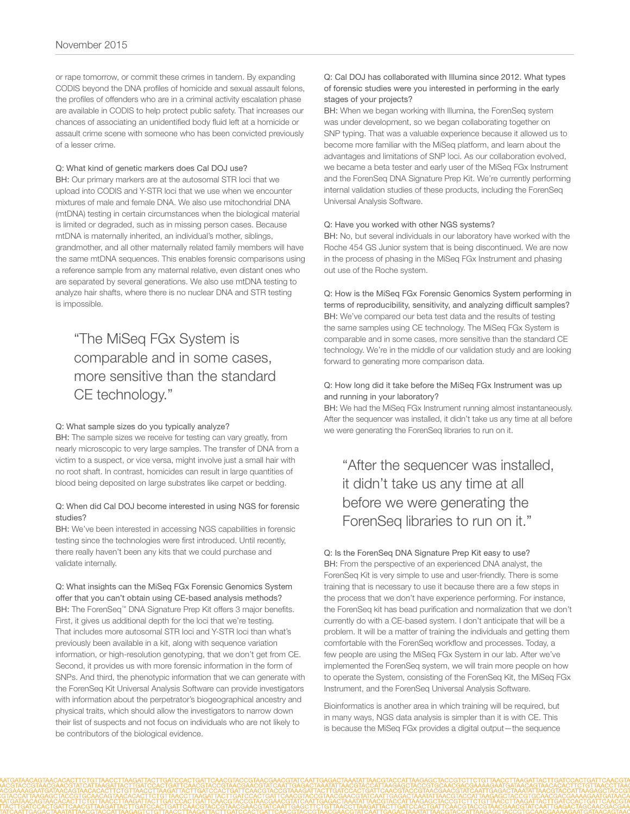or rape tomorrow, or commit these crimes in tandem. By expanding CODIS beyond the DNA profiles of homicide and sexual assault felons, the profiles of offenders who are in a criminal activity escalation phase are available in CODIS to help protect public safety. That increases our chances of associating an unidentified body fluid left at a homicide or assault crime scene with someone who has been convicted previously of a lesser crime.

### Q: What kind of genetic markers does Cal DOJ use?

BH: Our primary markers are at the autosomal STR loci that we upload into CODIS and Y-STR loci that we use when we encounter mixtures of male and female DNA. We also use mitochondrial DNA (mtDNA) testing in certain circumstances when the biological material is limited or degraded, such as in missing person cases. Because mtDNA is maternally inherited, an individual's mother, siblings, grandmother, and all other maternally related family members will have the same mtDNA sequences. This enables forensic comparisons using a reference sample from any maternal relative, even distant ones who are separated by several generations. We also use mtDNA testing to analyze hair shafts, where there is no nuclear DNA and STR testing is impossible.

### "The MiSeq FGx System is comparable and in some cases, more sensitive than the standard CE technology."

#### Q: What sample sizes do you typically analyze?

BH: The sample sizes we receive for testing can vary greatly, from nearly microscopic to very large samples. The transfer of DNA from a victim to a suspect, or vice versa, might involve just a small hair with no root shaft. In contrast, homicides can result in large quantities of blood being deposited on large substrates like carpet or bedding.

#### Q: When did Cal DOJ become interested in using NGS for forensic studies?

BH: We've been interested in accessing NGS capabilities in forensic testing since the technologies were first introduced. Until recently, there really haven't been any kits that we could purchase and validate internally.

Q: What insights can the MiSeq FGx Forensic Genomics System offer that you can't obtain using CE-based analysis methods? BH: The ForenSeq™ DNA Signature Prep Kit offers 3 major benefits. First, it gives us additional depth for the loci that we're testing. That includes more autosomal STR loci and Y-STR loci than what's previously been available in a kit, along with sequence variation information, or high-resolution genotyping, that we don't get from CE. Second, it provides us with more forensic information in the form of SNPs. And third, the phenotypic information that we can generate with the ForenSeq Kit Universal Analysis Software can provide investigators with information about the perpetrator's biogeographical ancestry and physical traits, which should allow the investigators to narrow down their list of suspects and not focus on individuals who are not likely to be contributors of the biological evidence.

### Q: Cal DOJ has collaborated with Illumina since 2012. What types of forensic studies were you interested in performing in the early stages of your projects?

BH: When we began working with Illumina, the ForenSeq system was under development, so we began collaborating together on SNP typing. That was a valuable experience because it allowed us to become more familiar with the MiSeq platform, and learn about the advantages and limitations of SNP loci. As our collaboration evolved, we became a beta tester and early user of the MiSeq FGx Instrument and the ForenSeq DNA Signature Prep Kit. We're currently performing internal validation studies of these products, including the ForenSeq Universal Analysis Software.

#### Q: Have you worked with other NGS systems?

BH: No, but several individuals in our laboratory have worked with the Roche 454 GS Junior system that is being discontinued. We are now in the process of phasing in the MiSeq FGx Instrument and phasing out use of the Roche system.

Q: How is the MiSeq FGx Forensic Genomics System performing in terms of reproducibility, sensitivity, and analyzing difficult samples? BH: We've compared our beta test data and the results of testing the same samples using CE technology. The MiSeq FGx System is comparable and in some cases, more sensitive than the standard CE technology. We're in the middle of our validation study and are looking forward to generating more comparison data.

### Q: How long did it take before the MiSeq FGx Instrument was up and running in your laboratory?

BH: We had the MiSeq FGx Instrument running almost instantaneously. After the sequencer was installed, it didn't take us any time at all before we were generating the ForenSeq libraries to run on it.

### "After the sequencer was installed, it didn't take us any time at all before we were generating the ForenSeq libraries to run on it."

Q: Is the ForenSeq DNA Signature Prep Kit easy to use? BH: From the perspective of an experienced DNA analyst, the ForenSeq Kit is very simple to use and user-friendly. There is some training that is necessary to use it because there are a few steps in the process that we don't have experience performing. For instance, the ForenSeq kit has bead purification and normalization that we don't currently do with a CE-based system. I don't anticipate that will be a problem. It will be a matter of training the individuals and getting them comfortable with the ForenSeq workflow and processes. Today, a few people are using the MiSeq FGx System in our lab. After we've implemented the ForenSeq system, we will train more people on how to operate the System, consisting of the ForenSeq Kit, the MiSeq FGx Instrument, and the ForenSeq Universal Analysis Software.

Bioinformatics is another area in which training will be required, but in many ways, NGS data analysis is simpler than it is with CE. This is because the MiSeq FGx provides a digital output—the sequence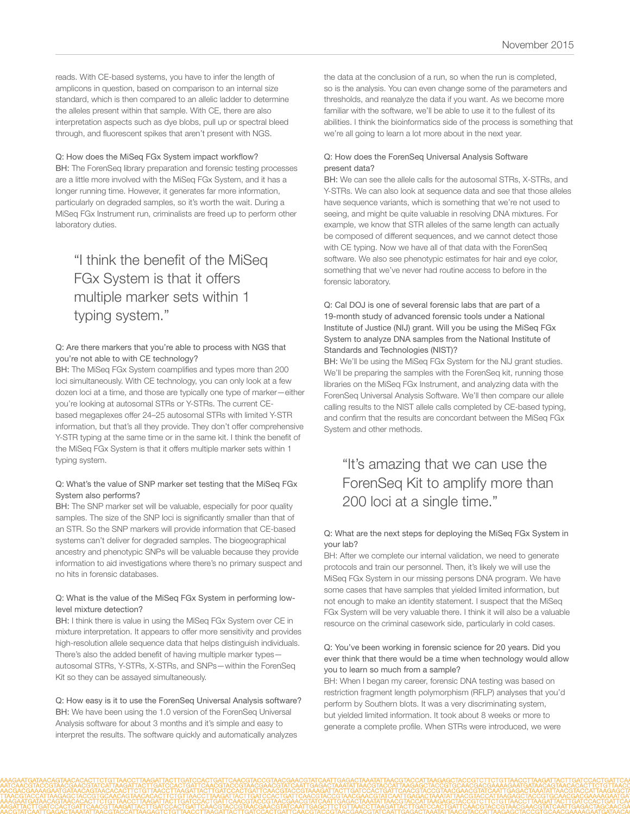reads. With CE-based systems, you have to infer the length of amplicons in question, based on comparison to an internal size standard, which is then compared to an allelic ladder to determine the alleles present within that sample. With CE, there are also interpretation aspects such as dye blobs, pull up or spectral bleed through, and fluorescent spikes that aren't present with NGS.

Q: How does the MiSeq FGx System impact workflow?

BH: The ForenSeq library preparation and forensic testing processes are a little more involved with the MiSeq FGx System, and it has a longer running time. However, it generates far more information, particularly on degraded samples, so it's worth the wait. During a MiSeq FGx Instrument run, criminalists are freed up to perform other laboratory duties.

## "I think the benefit of the MiSeq FGx System is that it offers multiple marker sets within 1 typing system."

### Q: Are there markers that you're able to process with NGS that you're not able to with CE technology?

BH: The MiSeq FGx System coamplifies and types more than 200 loci simultaneously. With CE technology, you can only look at a few dozen loci at a time, and those are typically one type of marker—either you're looking at autosomal STRs or Y-STRs. The current CEbased megaplexes offer 24–25 autosomal STRs with limited Y-STR information, but that's all they provide. They don't offer comprehensive Y-STR typing at the same time or in the same kit. I think the benefit of the MiSeq FGx System is that it offers multiple marker sets within 1 typing system.

### Q: What's the value of SNP marker set testing that the MiSeq FGx System also performs?

BH: The SNP marker set will be valuable, especially for poor quality samples. The size of the SNP loci is significantly smaller than that of an STR. So the SNP markers will provide information that CE-based systems can't deliver for degraded samples. The biogeographical ancestry and phenotypic SNPs will be valuable because they provide information to aid investigations where there's no primary suspect and no hits in forensic databases.

### Q: What is the value of the MiSeq FGx System in performing lowlevel mixture detection?

BH: I think there is value in using the MiSeq FGx System over CE in mixture interpretation. It appears to offer more sensitivity and provides high-resolution allele sequence data that helps distinguish individuals. There's also the added benefit of having multiple marker types autosomal STRs, Y-STRs, X-STRs, and SNPs—within the ForenSeq Kit so they can be assayed simultaneously.

Q: How easy is it to use the ForenSeq Universal Analysis software? BH: We have been using the 1.0 version of the ForenSeq Universal Analysis software for about 3 months and it's simple and easy to interpret the results. The software quickly and automatically analyzes

the data at the conclusion of a run, so when the run is completed, so is the analysis. You can even change some of the parameters and thresholds, and reanalyze the data if you want. As we become more familiar with the software, we'll be able to use it to the fullest of its abilities. I think the bioinformatics side of the process is something that we're all going to learn a lot more about in the next year.

### Q: How does the ForenSeq Universal Analysis Software present data?

BH: We can see the allele calls for the autosomal STRs, X-STRs, and Y-STRs. We can also look at sequence data and see that those alleles have sequence variants, which is something that we're not used to seeing, and might be quite valuable in resolving DNA mixtures. For example, we know that STR alleles of the same length can actually be composed of different sequences, and we cannot detect those with CE typing. Now we have all of that data with the ForenSeq software. We also see phenotypic estimates for hair and eye color, something that we've never had routine access to before in the forensic laboratory.

### Q: Cal DOJ is one of several forensic labs that are part of a 19-month study of advanced forensic tools under a National Institute of Justice (NIJ) grant. Will you be using the MiSeq FGx System to analyze DNA samples from the National Institute of Standards and Technologies (NIST)?

BH: We'll be using the MiSeq FGx System for the NIJ grant studies. We'll be preparing the samples with the ForenSeq kit, running those libraries on the MiSeq FGx Instrument, and analyzing data with the ForenSeq Universal Analysis Software. We'll then compare our allele calling results to the NIST allele calls completed by CE-based typing, and confirm that the results are concordant between the MiSeq FGx System and other methods.

### "It's amazing that we can use the ForenSeq Kit to amplify more than 200 loci at a single time."

### Q: What are the next steps for deploying the MiSeq FGx System in your lab?

BH: After we complete our internal validation, we need to generate protocols and train our personnel. Then, it's likely we will use the MiSeq FGx System in our missing persons DNA program. We have some cases that have samples that yielded limited information, but not enough to make an identity statement. I suspect that the MiSeq FGx System will be very valuable there. I think it will also be a valuable resource on the criminal casework side, particularly in cold cases.

### Q: You've been working in forensic science for 20 years. Did you ever think that there would be a time when technology would allow you to learn so much from a sample?

BH: When I began my career, forensic DNA testing was based on restriction fragment length polymorphism (RFLP) analyses that you'd perform by Southern blots. It was a very discriminating system, but yielded limited information. It took about 8 weeks or more to generate a complete profile. When STRs were introduced, we were